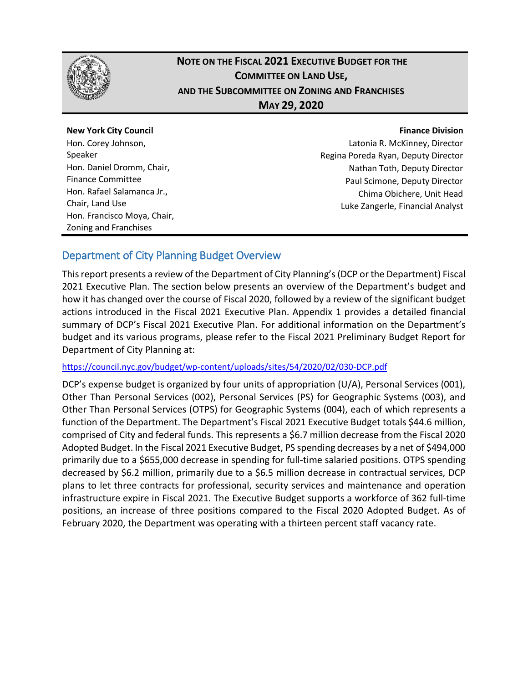

## **NOTE ON THE FISCAL 2021 EXECUTIVE BUDGET FOR THE COMMITTEE ON LAND USE, AND THE SUBCOMMITTEE ON ZONING AND FRANCHISES MAY 29, 2020**

**New York City Council** Hon. Corey Johnson, Speaker Hon. Daniel Dromm, Chair, Finance Committee Hon. Rafael Salamanca Jr., Chair, Land Use Hon. Francisco Moya, Chair, Zoning and Franchises

**Finance Division**

Latonia R. McKinney, Director Regina Poreda Ryan, Deputy Director Nathan Toth, Deputy Director Paul Scimone, Deputy Director Chima Obichere, Unit Head Luke Zangerle, Financial Analyst

# Department of City Planning Budget Overview

This report presents a review of the Department of City Planning's (DCP or the Department) Fiscal 2021 Executive Plan. The section below presents an overview of the Department's budget and how it has changed over the course of Fiscal 2020, followed by a review of the significant budget actions introduced in the Fiscal 2021 Executive Plan. Appendix 1 provides a detailed financial summary of DCP's Fiscal 2021 Executive Plan. For additional information on the Department's budget and its various programs, please refer to the Fiscal 2021 Preliminary Budget Report for Department of City Planning at:

## <https://council.nyc.gov/budget/wp-content/uploads/sites/54/2020/02/030-DCP.pdf>

DCP's expense budget is organized by four units of appropriation (U/A), Personal Services (001), Other Than Personal Services (002), Personal Services (PS) for Geographic Systems (003), and Other Than Personal Services (OTPS) for Geographic Systems (004), each of which represents a function of the Department. The Department's Fiscal 2021 Executive Budget totals \$44.6 million, comprised of City and federal funds. This represents a \$6.7 million decrease from the Fiscal 2020 Adopted Budget. In the Fiscal 2021 Executive Budget, PS spending decreases by a net of \$494,000 primarily due to a \$655,000 decrease in spending for full-time salaried positions. OTPS spending decreased by \$6.2 million, primarily due to a \$6.5 million decrease in contractual services, DCP plans to let three contracts for professional, security services and maintenance and operation infrastructure expire in Fiscal 2021. The Executive Budget supports a workforce of 362 full-time positions, an increase of three positions compared to the Fiscal 2020 Adopted Budget. As of February 2020, the Department was operating with a thirteen percent staff vacancy rate.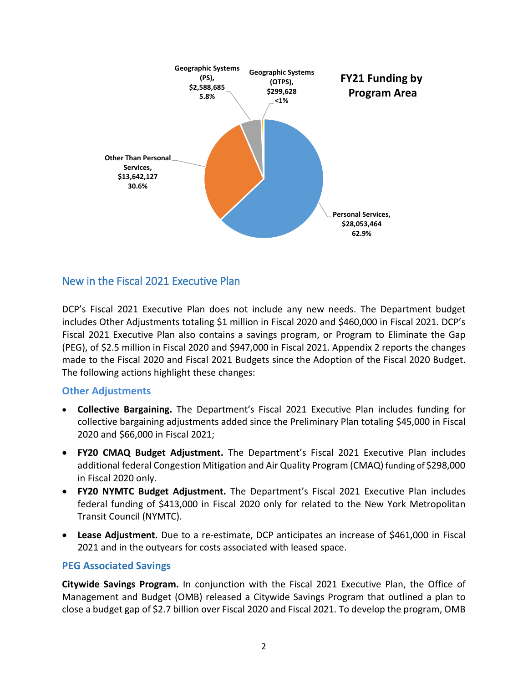

## New in the Fiscal 2021 Executive Plan

DCP's Fiscal 2021 Executive Plan does not include any new needs. The Department budget includes Other Adjustments totaling \$1 million in Fiscal 2020 and \$460,000 in Fiscal 2021. DCP's Fiscal 2021 Executive Plan also contains a savings program, or Program to Eliminate the Gap (PEG), of \$2.5 million in Fiscal 2020 and \$947,000 in Fiscal 2021. Appendix 2 reports the changes made to the Fiscal 2020 and Fiscal 2021 Budgets since the Adoption of the Fiscal 2020 Budget. The following actions highlight these changes:

## **Other Adjustments**

- **Collective Bargaining.** The Department's Fiscal 2021 Executive Plan includes funding for collective bargaining adjustments added since the Preliminary Plan totaling \$45,000 in Fiscal 2020 and \$66,000 in Fiscal 2021;
- **FY20 CMAQ Budget Adjustment.** The Department's Fiscal 2021 Executive Plan includes additional federal Congestion Mitigation and Air Quality Program (CMAQ) funding of \$298,000 in Fiscal 2020 only.
- **FY20 NYMTC Budget Adjustment.** The Department's Fiscal 2021 Executive Plan includes federal funding of \$413,000 in Fiscal 2020 only for related to the New York Metropolitan Transit Council (NYMTC).
- **Lease Adjustment.** Due to a re-estimate, DCP anticipates an increase of \$461,000 in Fiscal 2021 and in the outyears for costs associated with leased space.

## **PEG Associated Savings**

**Citywide Savings Program.** In conjunction with the Fiscal 2021 Executive Plan, the Office of Management and Budget (OMB) released a Citywide Savings Program that outlined a plan to close a budget gap of \$2.7 billion over Fiscal 2020 and Fiscal 2021. To develop the program, OMB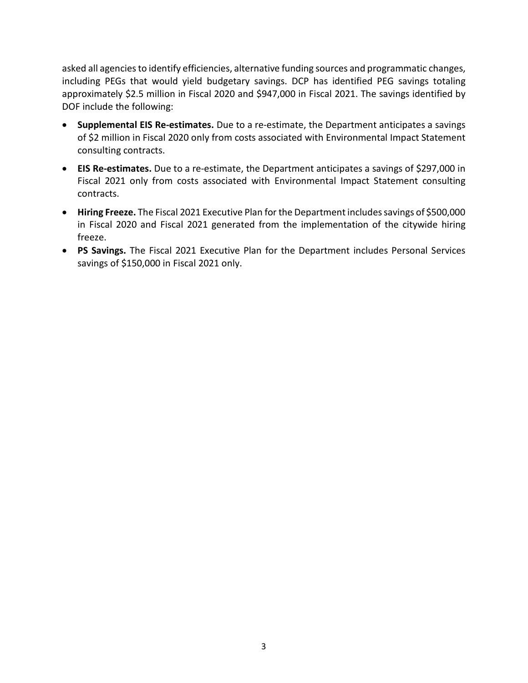asked all agencies to identify efficiencies, alternative funding sources and programmatic changes, including PEGs that would yield budgetary savings. DCP has identified PEG savings totaling approximately \$2.5 million in Fiscal 2020 and \$947,000 in Fiscal 2021. The savings identified by DOF include the following:

- **Supplemental EIS Re-estimates.** Due to a re-estimate, the Department anticipates a savings of \$2 million in Fiscal 2020 only from costs associated with Environmental Impact Statement consulting contracts.
- **EIS Re-estimates.** Due to a re-estimate, the Department anticipates a savings of \$297,000 in Fiscal 2021 only from costs associated with Environmental Impact Statement consulting contracts.
- **Hiring Freeze.** The Fiscal 2021 Executive Plan for the Departmentincludes savings of \$500,000 in Fiscal 2020 and Fiscal 2021 generated from the implementation of the citywide hiring freeze.
- **PS Savings.** The Fiscal 2021 Executive Plan for the Department includes Personal Services savings of \$150,000 in Fiscal 2021 only.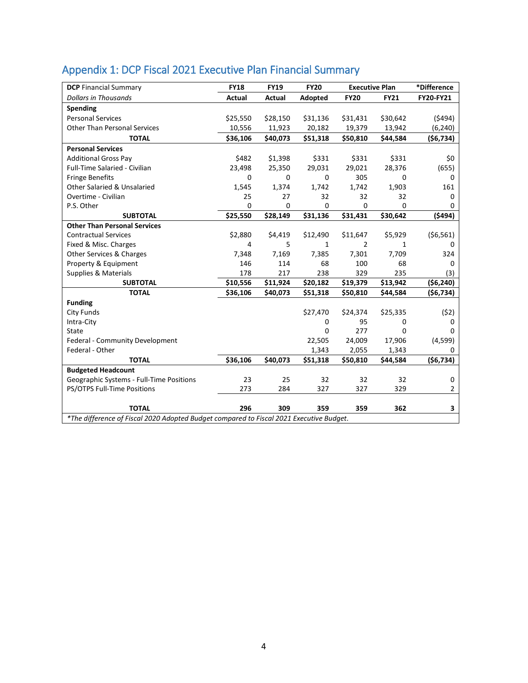| <b>DCP</b> Financial Summary                                                            | <b>FY18</b> | <b>FY19</b> | <b>FY20</b> | <b>Executive Plan</b> |             | *Difference      |
|-----------------------------------------------------------------------------------------|-------------|-------------|-------------|-----------------------|-------------|------------------|
| <b>Dollars in Thousands</b>                                                             | Actual      | Actual      | Adopted     | <b>FY20</b>           | <b>FY21</b> | <b>FY20-FY21</b> |
| Spending                                                                                |             |             |             |                       |             |                  |
| <b>Personal Services</b>                                                                | \$25,550    | \$28,150    | \$31,136    | \$31,431              | \$30,642    | (5494)           |
| <b>Other Than Personal Services</b>                                                     | 10,556      | 11,923      | 20,182      | 19,379                | 13,942      | (6, 240)         |
| <b>TOTAL</b>                                                                            | \$36,106    | \$40,073    | \$51,318    | \$50,810              | \$44,584    | (56, 734)        |
| <b>Personal Services</b>                                                                |             |             |             |                       |             |                  |
| <b>Additional Gross Pay</b>                                                             | \$482       | \$1,398     | \$331       | \$331                 | \$331       | \$0              |
| Full-Time Salaried - Civilian                                                           | 23,498      | 25,350      | 29,031      | 29,021                | 28,376      | (655)            |
| <b>Fringe Benefits</b>                                                                  | 0           | 0           | 0           | 305                   | 0           | 0                |
| Other Salaried & Unsalaried                                                             | 1,545       | 1,374       | 1,742       | 1,742                 | 1,903       | 161              |
| Overtime - Civilian                                                                     | 25          | 27          | 32          | 32                    | 32          | 0                |
| P.S. Other                                                                              | 0           | 0           | 0           | 0                     | 0           | 0                |
| <b>SUBTOTAL</b>                                                                         | \$25,550    | \$28,149    | \$31,136    | \$31,431              | \$30,642    | (5494)           |
| <b>Other Than Personal Services</b>                                                     |             |             |             |                       |             |                  |
| <b>Contractual Services</b>                                                             | \$2,880     | \$4,419     | \$12,490    | \$11,647              | \$5,929     | (56, 561)        |
| Fixed & Misc. Charges                                                                   | 4           | 5           | 1           | 2                     | 1           | 0                |
| Other Services & Charges                                                                | 7,348       | 7,169       | 7,385       | 7,301                 | 7,709       | 324              |
| Property & Equipment                                                                    | 146         | 114         | 68          | 100                   | 68          | 0                |
| Supplies & Materials                                                                    | 178         | 217         | 238         | 329                   | 235         | (3)              |
| <b>SUBTOTAL</b>                                                                         | \$10,556    | \$11,924    | \$20,182    | \$19,379              | \$13,942    | ( \$6, 240)      |
| <b>TOTAL</b>                                                                            | \$36,106    | \$40,073    | \$51,318    | \$50,810              | \$44,584    | ( \$6,734)       |
| <b>Funding</b>                                                                          |             |             |             |                       |             |                  |
| <b>City Funds</b>                                                                       |             |             | \$27,470    | \$24,374              | \$25,335    | (52)             |
| Intra-City                                                                              |             |             | 0           | 95                    | 0           | 0                |
| State                                                                                   |             |             | 0           | 277                   | 0           | $\Omega$         |
| Federal - Community Development                                                         |             |             | 22,505      | 24,009                | 17,906      | (4,599)          |
| Federal - Other                                                                         |             |             | 1,343       | 2,055                 | 1,343       | 0                |
| <b>TOTAL</b>                                                                            | \$36,106    | \$40,073    | \$51,318    | \$50,810              | \$44,584    | (56, 734)        |
| <b>Budgeted Headcount</b>                                                               |             |             |             |                       |             |                  |
| Geographic Systems - Full-Time Positions                                                | 23          | 25          | 32          | 32                    | 32          | 0                |
| PS/OTPS Full-Time Positions                                                             | 273         | 284         | 327         | 327                   | 329         | $\overline{2}$   |
| <b>TOTAL</b>                                                                            | 296         | 309         | 359         | 359                   | 362         | 3                |
| *The difference of Fiscal 2020 Adopted Budget compared to Fiscal 2021 Executive Budget. |             |             |             |                       |             |                  |

# Appendix 1: DCP Fiscal 2021 Executive Plan Financial Summary